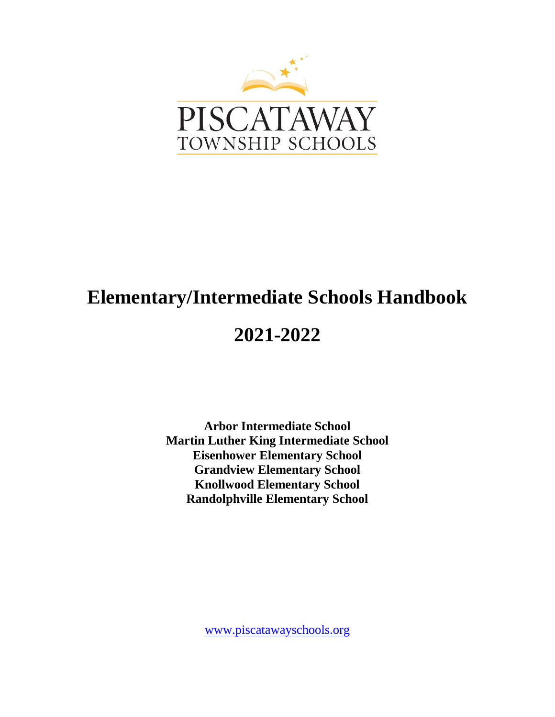

# **Elementary/Intermediate Schools Handbook**

# **2021-2022**

**Arbor Intermediate School Martin Luther King Intermediate School Eisenhower Elementary School Grandview Elementary School Knollwood Elementary School Randolphville Elementary School**

[www.piscatawayschools.org](http://www.piscatawayschools.org/)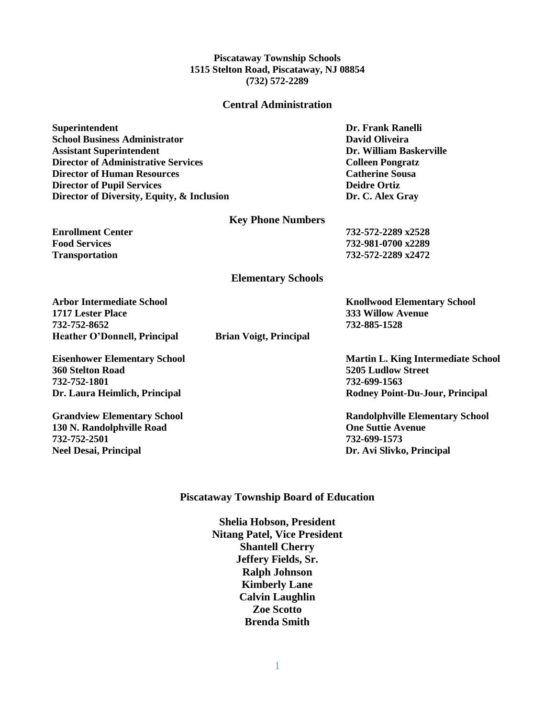#### **Piscataway Township Schools 1515 Stelton Road, Piscataway, NJ 08854 (732) 572-2289**

#### **Central Administration**

**Superintendent Dr. Frank Ranelli School Business Administrator David Oliveira Assistant Superintendent Dr. William Baskerville Director of Administrative Services Colleen Pongratz Director of Human Resources Catherine Sousa Director of Pupil Services Director of Pupil Services Deidre Ortiz Director of Diversity, Equity, & Inclusion by Dr. C. Alex Gray** 

#### **Key Phone Numbers**

**Enrollment Center 732-572-2289 x2528 Food Services 732-981-0700 x2289 Transportation 732-572-2289 x2472**

**Elementary Schools**

**Arbor Intermediate School Knollwood Elementary School 1717 Lester Place 333 Willow Avenue 732-752-8652 732-885-1528 Heather O'Donnell, Principal Brian Voigt, Principal**

**360 Stelton Road 5205 Ludlow Street 732-752-1801 732-699-1563**

**130 N. Randolphville Road One Suttie Avenue 732-752-2501 732-699-1573 Neel Desai, Principal Dr. Avi Slivko, Principal**

**Eisenhower Elementary School Martin L. King Intermediate School Dr. Laura Heimlich, Principal Rodney Point-Du-Jour, Principal**

**Grandview Elementary School Randolphville Elementary School**

#### **Piscataway Township Board of Education**

**Shelia Hobson, President Nitang Patel, Vice President Shantell Cherry Jeffery Fields, Sr. Ralph Johnson Kimberly Lane Calvin Laughlin Zoe Scotto Brenda Smith**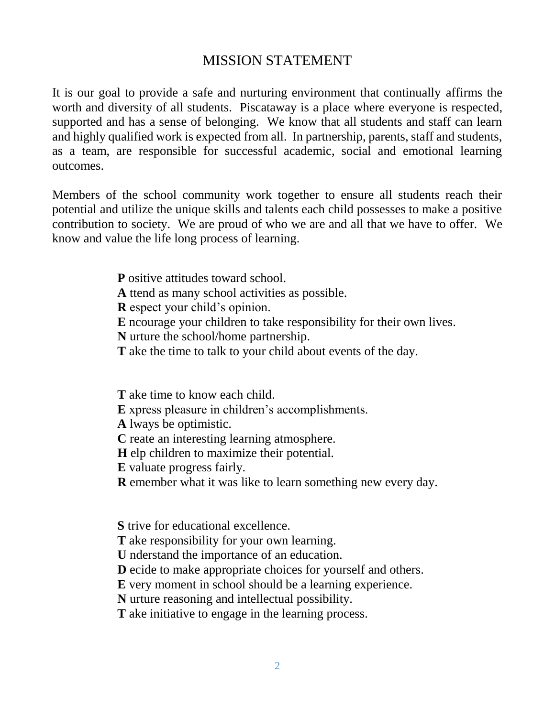## MISSION STATEMENT

It is our goal to provide a safe and nurturing environment that continually affirms the worth and diversity of all students. Piscataway is a place where everyone is respected, supported and has a sense of belonging. We know that all students and staff can learn and highly qualified work is expected from all. In partnership, parents, staff and students, as a team, are responsible for successful academic, social and emotional learning outcomes.

Members of the school community work together to ensure all students reach their potential and utilize the unique skills and talents each child possesses to make a positive contribution to society. We are proud of who we are and all that we have to offer. We know and value the life long process of learning.

- **P** ositive attitudes toward school.
- **A** ttend as many school activities as possible.
- **R** espect your child's opinion.
- **E** ncourage your children to take responsibility for their own lives.
- **N** urture the school/home partnership.
- **T** ake the time to talk to your child about events of the day.

**T** ake time to know each child.

**E** xpress pleasure in children's accomplishments.

**A** lways be optimistic.

- **C** reate an interesting learning atmosphere.
- **H** elp children to maximize their potential.
- **E** valuate progress fairly.
- **R** emember what it was like to learn something new every day.

**S** trive for educational excellence.

- **T** ake responsibility for your own learning.
- **U** nderstand the importance of an education.
- **D** ecide to make appropriate choices for yourself and others.
- **E** very moment in school should be a learning experience.
- **N** urture reasoning and intellectual possibility.

**T** ake initiative to engage in the learning process.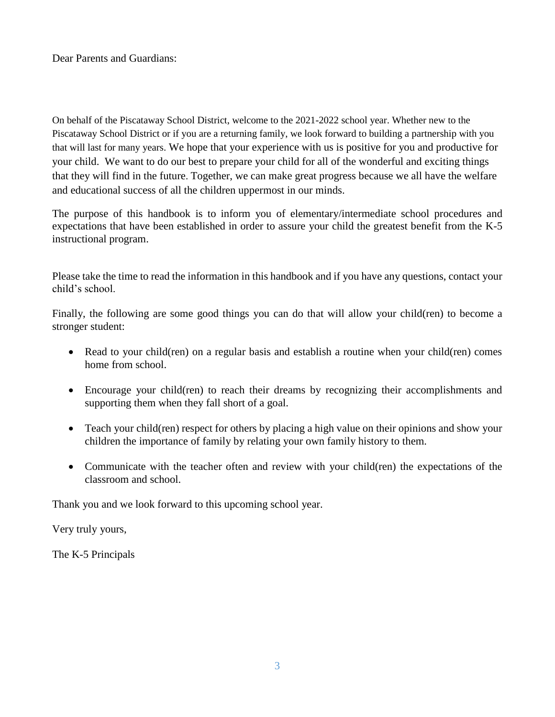Dear Parents and Guardians:

On behalf of the Piscataway School District, welcome to the 2021-2022 school year. Whether new to the Piscataway School District or if you are a returning family, we look forward to building a partnership with you that will last for many years. We hope that your experience with us is positive for you and productive for your child. We want to do our best to prepare your child for all of the wonderful and exciting things that they will find in the future. Together, we can make great progress because we all have the welfare and educational success of all the children uppermost in our minds.

The purpose of this handbook is to inform you of elementary/intermediate school procedures and expectations that have been established in order to assure your child the greatest benefit from the K-5 instructional program.

Please take the time to read the information in this handbook and if you have any questions, contact your child's school.

Finally, the following are some good things you can do that will allow your child(ren) to become a stronger student:

- Read to your child(ren) on a regular basis and establish a routine when your child(ren) comes home from school.
- Encourage your child(ren) to reach their dreams by recognizing their accomplishments and supporting them when they fall short of a goal.
- Teach your child(ren) respect for others by placing a high value on their opinions and show your children the importance of family by relating your own family history to them.
- Communicate with the teacher often and review with your child(ren) the expectations of the classroom and school.

Thank you and we look forward to this upcoming school year.

Very truly yours,

The K-5 Principals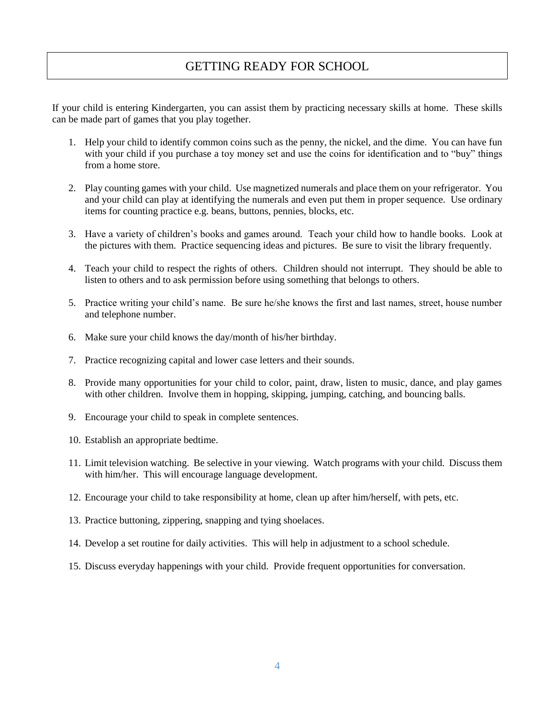## GETTING READY FOR SCHOOL

If your child is entering Kindergarten, you can assist them by practicing necessary skills at home. These skills can be made part of games that you play together.

- 1. Help your child to identify common coins such as the penny, the nickel, and the dime. You can have fun with your child if you purchase a toy money set and use the coins for identification and to "buy" things from a home store.
- 2. Play counting games with your child. Use magnetized numerals and place them on your refrigerator. You and your child can play at identifying the numerals and even put them in proper sequence. Use ordinary items for counting practice e.g. beans, buttons, pennies, blocks, etc.
- 3. Have a variety of children's books and games around. Teach your child how to handle books. Look at the pictures with them. Practice sequencing ideas and pictures. Be sure to visit the library frequently.
- 4. Teach your child to respect the rights of others. Children should not interrupt. They should be able to listen to others and to ask permission before using something that belongs to others.
- 5. Practice writing your child's name. Be sure he/she knows the first and last names, street, house number and telephone number.
- 6. Make sure your child knows the day/month of his/her birthday.
- 7. Practice recognizing capital and lower case letters and their sounds.
- 8. Provide many opportunities for your child to color, paint, draw, listen to music, dance, and play games with other children. Involve them in hopping, skipping, jumping, catching, and bouncing balls.
- 9. Encourage your child to speak in complete sentences.
- 10. Establish an appropriate bedtime.
- 11. Limit television watching. Be selective in your viewing. Watch programs with your child. Discuss them with him/her. This will encourage language development.
- 12. Encourage your child to take responsibility at home, clean up after him/herself, with pets, etc.
- 13. Practice buttoning, zippering, snapping and tying shoelaces.
- 14. Develop a set routine for daily activities. This will help in adjustment to a school schedule.
- 15. Discuss everyday happenings with your child. Provide frequent opportunities for conversation.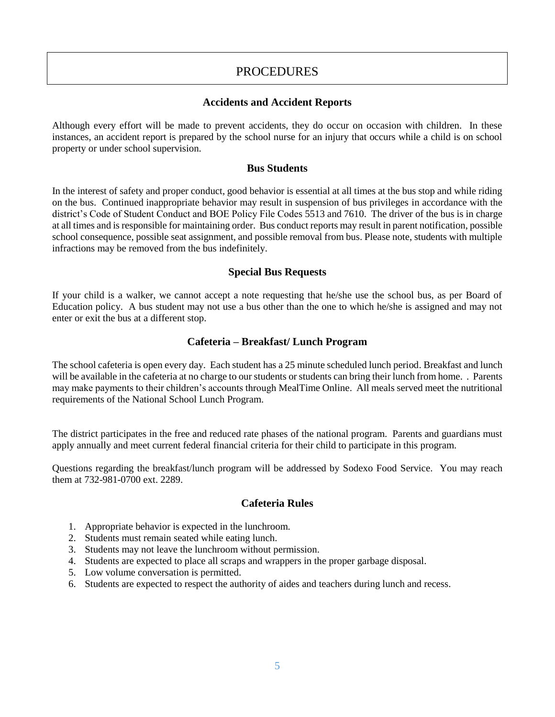## **PROCEDURES**

### **Accidents and Accident Reports**

Although every effort will be made to prevent accidents, they do occur on occasion with children. In these instances, an accident report is prepared by the school nurse for an injury that occurs while a child is on school property or under school supervision.

#### **Bus Students**

In the interest of safety and proper conduct, good behavior is essential at all times at the bus stop and while riding on the bus. Continued inappropriate behavior may result in suspension of bus privileges in accordance with the district's Code of Student Conduct and BOE Policy File Codes 5513 and 7610. The driver of the bus is in charge at all times and is responsible for maintaining order. Bus conduct reports may result in parent notification, possible school consequence, possible seat assignment, and possible removal from bus. Please note, students with multiple infractions may be removed from the bus indefinitely.

#### **Special Bus Requests**

If your child is a walker, we cannot accept a note requesting that he/she use the school bus, as per Board of Education policy. A bus student may not use a bus other than the one to which he/she is assigned and may not enter or exit the bus at a different stop.

#### **Cafeteria – Breakfast/ Lunch Program**

The school cafeteria is open every day. Each student has a 25 minute scheduled lunch period. Breakfast and lunch will be available in the cafeteria at no charge to our students or students can bring their lunch from home. . Parents may make payments to their children's accounts through MealTime Online. All meals served meet the nutritional requirements of the National School Lunch Program.

The district participates in the free and reduced rate phases of the national program. Parents and guardians must apply annually and meet current federal financial criteria for their child to participate in this program.

Questions regarding the breakfast/lunch program will be addressed by Sodexo Food Service. You may reach them at 732-981-0700 ext. 2289.

## **Cafeteria Rules**

- 1. Appropriate behavior is expected in the lunchroom.
- 2. Students must remain seated while eating lunch.
- 3. Students may not leave the lunchroom without permission.
- 4. Students are expected to place all scraps and wrappers in the proper garbage disposal.
- 5. Low volume conversation is permitted.
- 6. Students are expected to respect the authority of aides and teachers during lunch and recess.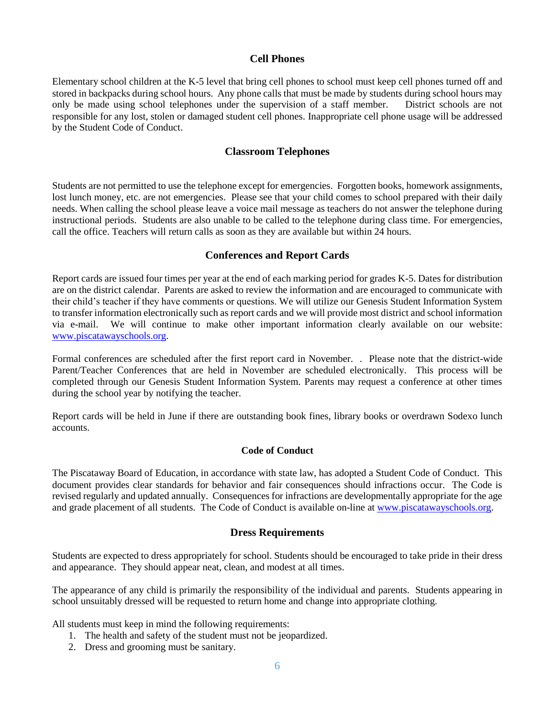#### **Cell Phones**

Elementary school children at the K-5 level that bring cell phones to school must keep cell phones turned off and stored in backpacks during school hours. Any phone calls that must be made by students during school hours may only be made using school telephones under the supervision of a staff member. District schools are not responsible for any lost, stolen or damaged student cell phones. Inappropriate cell phone usage will be addressed by the Student Code of Conduct.

#### **Classroom Telephones**

Students are not permitted to use the telephone except for emergencies. Forgotten books, homework assignments, lost lunch money, etc. are not emergencies. Please see that your child comes to school prepared with their daily needs. When calling the school please leave a voice mail message as teachers do not answer the telephone during instructional periods. Students are also unable to be called to the telephone during class time. For emergencies, call the office. Teachers will return calls as soon as they are available but within 24 hours.

#### **Conferences and Report Cards**

Report cards are issued four times per year at the end of each marking period for grades K-5. Dates for distribution are on the district calendar. Parents are asked to review the information and are encouraged to communicate with their child's teacher if they have comments or questions. We will utilize our Genesis Student Information System to transfer information electronically such as report cards and we will provide most district and school information via e-mail. We will continue to make other important information clearly available on our website: [www.piscatawayschools.org.](http://www.piscatawayschools.org/)

Formal conferences are scheduled after the first report card in November. . Please note that the district-wide Parent/Teacher Conferences that are held in November are scheduled electronically. This process will be completed through our Genesis Student Information System. Parents may request a conference at other times during the school year by notifying the teacher.

Report cards will be held in June if there are outstanding book fines, library books or overdrawn Sodexo lunch accounts.

#### **Code of Conduct**

The Piscataway Board of Education, in accordance with state law, has adopted a Student Code of Conduct. This document provides clear standards for behavior and fair consequences should infractions occur. The Code is revised regularly and updated annually. Consequences for infractions are developmentally appropriate for the age and grade placement of all students. The Code of Conduct is available on-line at [www.piscatawayschools.org.](http://www.piscatawayschools.org/)

#### **Dress Requirements**

Students are expected to dress appropriately for school. Students should be encouraged to take pride in their dress and appearance. They should appear neat, clean, and modest at all times.

The appearance of any child is primarily the responsibility of the individual and parents. Students appearing in school unsuitably dressed will be requested to return home and change into appropriate clothing.

All students must keep in mind the following requirements:

- 1. The health and safety of the student must not be jeopardized.
- 2. Dress and grooming must be sanitary.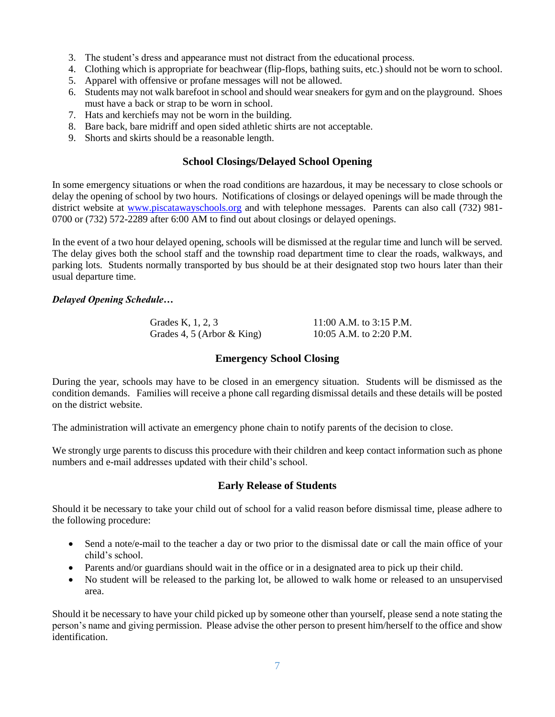- 3. The student's dress and appearance must not distract from the educational process.
- 4. Clothing which is appropriate for beachwear (flip-flops, bathing suits, etc.) should not be worn to school.
- 5. Apparel with offensive or profane messages will not be allowed.
- 6. Students may not walk barefoot in school and should wear sneakers for gym and on the playground. Shoes must have a back or strap to be worn in school.
- 7. Hats and kerchiefs may not be worn in the building.
- 8. Bare back, bare midriff and open sided athletic shirts are not acceptable.
- 9. Shorts and skirts should be a reasonable length.

## **School Closings/Delayed School Opening**

In some emergency situations or when the road conditions are hazardous, it may be necessary to close schools or delay the opening of school by two hours. Notifications of closings or delayed openings will be made through the district website at [www.piscatawayschools.org](http://www.piscatawayschools.org/) and with telephone messages. Parents can also call (732) 981- 0700 or (732) 572-2289 after 6:00 AM to find out about closings or delayed openings.

In the event of a two hour delayed opening, schools will be dismissed at the regular time and lunch will be served. The delay gives both the school staff and the township road department time to clear the roads, walkways, and parking lots. Students normally transported by bus should be at their designated stop two hours later than their usual departure time.

#### *Delayed Opening Schedule…*

Grades K, 1, 2, 3 11:00 A.M. to 3:15 P.M. Grades 4, 5 (Arbor & King) 10:05 A.M. to 2:20 P.M.

## **Emergency School Closing**

During the year, schools may have to be closed in an emergency situation. Students will be dismissed as the condition demands. Families will receive a phone call regarding dismissal details and these details will be posted on the district website.

The administration will activate an emergency phone chain to notify parents of the decision to close.

We strongly urge parents to discuss this procedure with their children and keep contact information such as phone numbers and e-mail addresses updated with their child's school.

## **Early Release of Students**

Should it be necessary to take your child out of school for a valid reason before dismissal time, please adhere to the following procedure:

- Send a note/e-mail to the teacher a day or two prior to the dismissal date or call the main office of your child's school.
- Parents and/or guardians should wait in the office or in a designated area to pick up their child.
- No student will be released to the parking lot, be allowed to walk home or released to an unsupervised area.

Should it be necessary to have your child picked up by someone other than yourself, please send a note stating the person's name and giving permission. Please advise the other person to present him/herself to the office and show identification.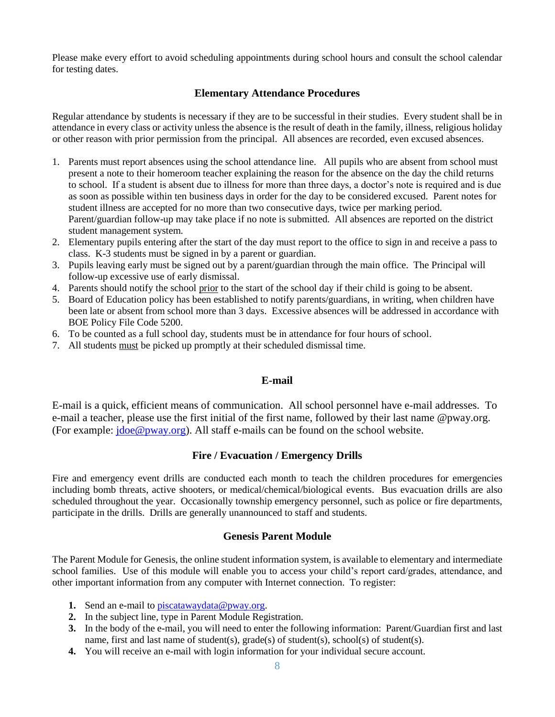Please make every effort to avoid scheduling appointments during school hours and consult the school calendar for testing dates.

## **Elementary Attendance Procedures**

Regular attendance by students is necessary if they are to be successful in their studies. Every student shall be in attendance in every class or activity unless the absence is the result of death in the family, illness, religious holiday or other reason with prior permission from the principal. All absences are recorded, even excused absences.

- 1. Parents must report absences using the school attendance line. All pupils who are absent from school must present a note to their homeroom teacher explaining the reason for the absence on the day the child returns to school. If a student is absent due to illness for more than three days, a doctor's note is required and is due as soon as possible within ten business days in order for the day to be considered excused. Parent notes for student illness are accepted for no more than two consecutive days, twice per marking period. Parent/guardian follow-up may take place if no note is submitted. All absences are reported on the district student management system.
- 2. Elementary pupils entering after the start of the day must report to the office to sign in and receive a pass to class. K-3 students must be signed in by a parent or guardian.
- 3. Pupils leaving early must be signed out by a parent/guardian through the main office. The Principal will follow-up excessive use of early dismissal.
- 4. Parents should notify the school prior to the start of the school day if their child is going to be absent.
- 5. Board of Education policy has been established to notify parents/guardians, in writing, when children have been late or absent from school more than 3 days. Excessive absences will be addressed in accordance with BOE Policy File Code 5200.
- 6. To be counted as a full school day, students must be in attendance for four hours of school.
- 7. All students must be picked up promptly at their scheduled dismissal time.

## **E-mail**

E-mail is a quick, efficient means of communication. All school personnel have e-mail addresses. To e-mail a teacher, please use the first initial of the first name, followed by their last name @pway.org. (For example:  $i$ doe@pway.org). All staff e-mails can be found on the school website.

## **Fire / Evacuation / Emergency Drills**

Fire and emergency event drills are conducted each month to teach the children procedures for emergencies including bomb threats, active shooters, or medical/chemical/biological events. Bus evacuation drills are also scheduled throughout the year. Occasionally township emergency personnel, such as police or fire departments, participate in the drills. Drills are generally unannounced to staff and students.

## **Genesis Parent Module**

The Parent Module for Genesis, the online student information system, is available to elementary and intermediate school families. Use of this module will enable you to access your child's report card/grades, attendance, and other important information from any computer with Internet connection. To register:

- **1.** Send an e-mail to [piscatawaydata@pway.org.](mailto:piscatawaydata@pway.org)
- **2.** In the subject line, type in Parent Module Registration.
- **3.** In the body of the e-mail, you will need to enter the following information: Parent/Guardian first and last name, first and last name of student(s),  $\text{grade}(s)$  of student(s),  $\text{school}(s)$  of student(s).
- **4.** You will receive an e-mail with login information for your individual secure account.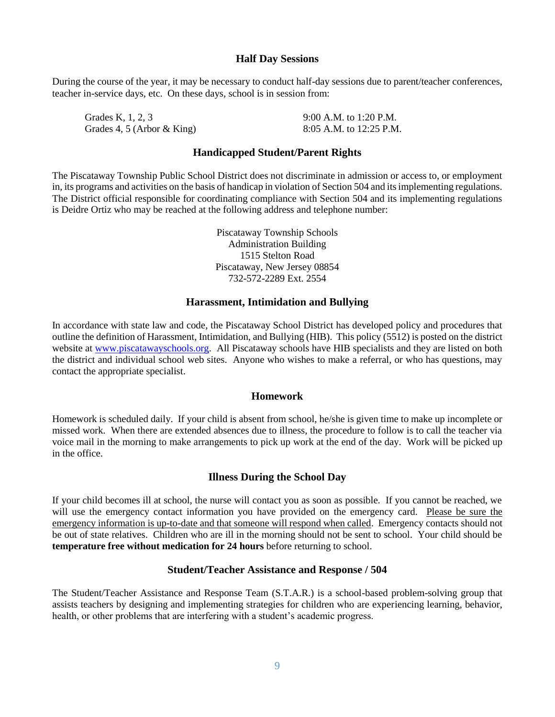#### **Half Day Sessions**

During the course of the year, it may be necessary to conduct half-day sessions due to parent/teacher conferences, teacher in-service days, etc. On these days, school is in session from:

Grades K, 1, 2, 3 9:00 A.M. to 1:20 P.M. Grades 4, 5 (Arbor & King) 8:05 A.M. to 12:25 P.M.

## **Handicapped Student/Parent Rights**

The Piscataway Township Public School District does not discriminate in admission or access to, or employment in, its programs and activities on the basis of handicap in violation of Section 504 and its implementing regulations. The District official responsible for coordinating compliance with Section 504 and its implementing regulations is Deidre Ortiz who may be reached at the following address and telephone number:

> Piscataway Township Schools Administration Building 1515 Stelton Road Piscataway, New Jersey 08854 732-572-2289 Ext. 2554

#### **Harassment, Intimidation and Bullying**

In accordance with state law and code, the Piscataway School District has developed policy and procedures that outline the definition of Harassment, Intimidation, and Bullying (HIB). This policy (5512) is posted on the district website at [www.piscatawayschools.org.](http://www.piscatawayschools.org/) All Piscataway schools have HIB specialists and they are listed on both the district and individual school web sites. Anyone who wishes to make a referral, or who has questions, may contact the appropriate specialist.

#### **Homework**

Homework is scheduled daily. If your child is absent from school, he/she is given time to make up incomplete or missed work. When there are extended absences due to illness, the procedure to follow is to call the teacher via voice mail in the morning to make arrangements to pick up work at the end of the day. Work will be picked up in the office.

#### **Illness During the School Day**

If your child becomes ill at school, the nurse will contact you as soon as possible. If you cannot be reached, we will use the emergency contact information you have provided on the emergency card. Please be sure the emergency information is up-to-date and that someone will respond when called. Emergency contacts should not be out of state relatives. Children who are ill in the morning should not be sent to school. Your child should be **temperature free without medication for 24 hours** before returning to school.

#### **Student/Teacher Assistance and Response / 504**

The Student/Teacher Assistance and Response Team (S.T.A.R.) is a school-based problem-solving group that assists teachers by designing and implementing strategies for children who are experiencing learning, behavior, health, or other problems that are interfering with a student's academic progress.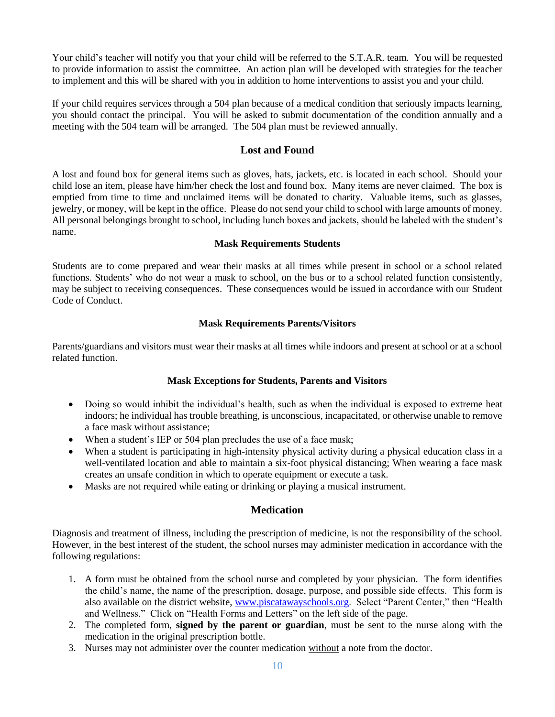Your child's teacher will notify you that your child will be referred to the S.T.A.R. team. You will be requested to provide information to assist the committee. An action plan will be developed with strategies for the teacher to implement and this will be shared with you in addition to home interventions to assist you and your child.

If your child requires services through a 504 plan because of a medical condition that seriously impacts learning, you should contact the principal. You will be asked to submit documentation of the condition annually and a meeting with the 504 team will be arranged. The 504 plan must be reviewed annually.

### **Lost and Found**

A lost and found box for general items such as gloves, hats, jackets, etc. is located in each school. Should your child lose an item, please have him/her check the lost and found box. Many items are never claimed. The box is emptied from time to time and unclaimed items will be donated to charity. Valuable items, such as glasses, jewelry, or money, will be kept in the office. Please do not send your child to school with large amounts of money. All personal belongings brought to school, including lunch boxes and jackets, should be labeled with the student's name.

#### **Mask Requirements Students**

Students are to come prepared and wear their masks at all times while present in school or a school related functions. Students' who do not wear a mask to school, on the bus or to a school related function consistently, may be subject to receiving consequences. These consequences would be issued in accordance with our Student Code of Conduct.

#### **Mask Requirements Parents/Visitors**

Parents/guardians and visitors must wear their masks at all times while indoors and present at school or at a school related function.

## **Mask Exceptions for Students, Parents and Visitors**

- Doing so would inhibit the individual's health, such as when the individual is exposed to extreme heat indoors; he individual has trouble breathing, is unconscious, incapacitated, or otherwise unable to remove a face mask without assistance;
- When a student's IEP or 504 plan precludes the use of a face mask;
- When a student is participating in high-intensity physical activity during a physical education class in a well-ventilated location and able to maintain a six-foot physical distancing; When wearing a face mask creates an unsafe condition in which to operate equipment or execute a task.
- Masks are not required while eating or drinking or playing a musical instrument.

## **Medication**

Diagnosis and treatment of illness, including the prescription of medicine, is not the responsibility of the school. However, in the best interest of the student, the school nurses may administer medication in accordance with the following regulations:

- 1. A form must be obtained from the school nurse and completed by your physician. The form identifies the child's name, the name of the prescription, dosage, purpose, and possible side effects. This form is also available on the district website, [www.piscatawayschools.org.](http://www.piscatawayschools.org/) Select "Parent Center," then "Health and Wellness." Click on "Health Forms and Letters" on the left side of the page.
- 2. The completed form, **signed by the parent or guardian**, must be sent to the nurse along with the medication in the original prescription bottle.
- 3. Nurses may not administer over the counter medication without a note from the doctor.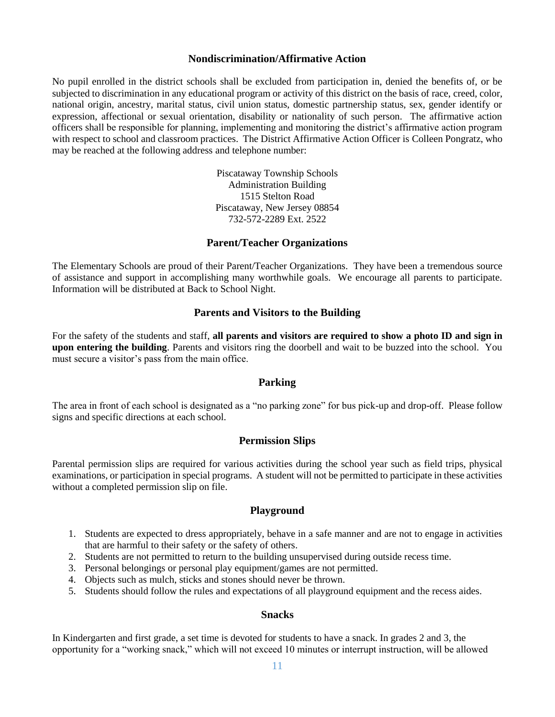#### **Nondiscrimination/Affirmative Action**

No pupil enrolled in the district schools shall be excluded from participation in, denied the benefits of, or be subjected to discrimination in any educational program or activity of this district on the basis of race, creed, color, national origin, ancestry, marital status, civil union status, domestic partnership status, sex, gender identify or expression, affectional or sexual orientation, disability or nationality of such person. The affirmative action officers shall be responsible for planning, implementing and monitoring the district's affirmative action program with respect to school and classroom practices. The District Affirmative Action Officer is Colleen Pongratz, who may be reached at the following address and telephone number:

> Piscataway Township Schools Administration Building 1515 Stelton Road Piscataway, New Jersey 08854 732-572-2289 Ext. 2522

#### **Parent/Teacher Organizations**

The Elementary Schools are proud of their Parent/Teacher Organizations. They have been a tremendous source of assistance and support in accomplishing many worthwhile goals. We encourage all parents to participate. Information will be distributed at Back to School Night.

#### **Parents and Visitors to the Building**

For the safety of the students and staff, **all parents and visitors are required to show a photo ID and sign in upon entering the building**. Parents and visitors ring the doorbell and wait to be buzzed into the school. You must secure a visitor's pass from the main office.

#### **Parking**

The area in front of each school is designated as a "no parking zone" for bus pick-up and drop-off. Please follow signs and specific directions at each school.

#### **Permission Slips**

Parental permission slips are required for various activities during the school year such as field trips, physical examinations, or participation in special programs. A student will not be permitted to participate in these activities without a completed permission slip on file.

#### **Playground**

- 1. Students are expected to dress appropriately, behave in a safe manner and are not to engage in activities that are harmful to their safety or the safety of others.
- 2. Students are not permitted to return to the building unsupervised during outside recess time.
- 3. Personal belongings or personal play equipment/games are not permitted.
- 4. Objects such as mulch, sticks and stones should never be thrown.
- 5. Students should follow the rules and expectations of all playground equipment and the recess aides.

#### **Snacks**

In Kindergarten and first grade, a set time is devoted for students to have a snack. In grades 2 and 3, the opportunity for a "working snack," which will not exceed 10 minutes or interrupt instruction, will be allowed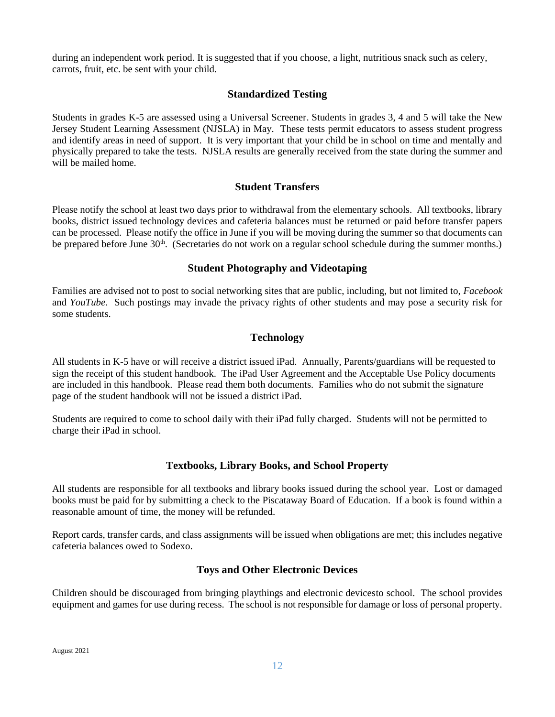during an independent work period. It is suggested that if you choose, a light, nutritious snack such as celery, carrots, fruit, etc. be sent with your child.

## **Standardized Testing**

Students in grades K-5 are assessed using a Universal Screener. Students in grades 3, 4 and 5 will take the New Jersey Student Learning Assessment (NJSLA) in May. These tests permit educators to assess student progress and identify areas in need of support. It is very important that your child be in school on time and mentally and physically prepared to take the tests. NJSLA results are generally received from the state during the summer and will be mailed home.

## **Student Transfers**

Please notify the school at least two days prior to withdrawal from the elementary schools. All textbooks, library books, district issued technology devices and cafeteria balances must be returned or paid before transfer papers can be processed. Please notify the office in June if you will be moving during the summer so that documents can be prepared before June 30<sup>th</sup>. (Secretaries do not work on a regular school schedule during the summer months.)

#### **Student Photography and Videotaping**

Families are advised not to post to social networking sites that are public, including, but not limited to, *Facebook*  and *YouTube.* Such postings may invade the privacy rights of other students and may pose a security risk for some students.

## **Technology**

All students in K-5 have or will receive a district issued iPad. Annually, Parents/guardians will be requested to sign the receipt of this student handbook. The iPad User Agreement and the Acceptable Use Policy documents are included in this handbook. Please read them both documents. Families who do not submit the signature page of the student handbook will not be issued a district iPad.

Students are required to come to school daily with their iPad fully charged. Students will not be permitted to charge their iPad in school.

## **Textbooks, Library Books, and School Property**

All students are responsible for all textbooks and library books issued during the school year. Lost or damaged books must be paid for by submitting a check to the Piscataway Board of Education. If a book is found within a reasonable amount of time, the money will be refunded.

Report cards, transfer cards, and class assignments will be issued when obligations are met; this includes negative cafeteria balances owed to Sodexo.

## **Toys and Other Electronic Devices**

Children should be discouraged from bringing playthings and electronic devicesto school. The school provides equipment and games for use during recess. The school is not responsible for damage or loss of personal property.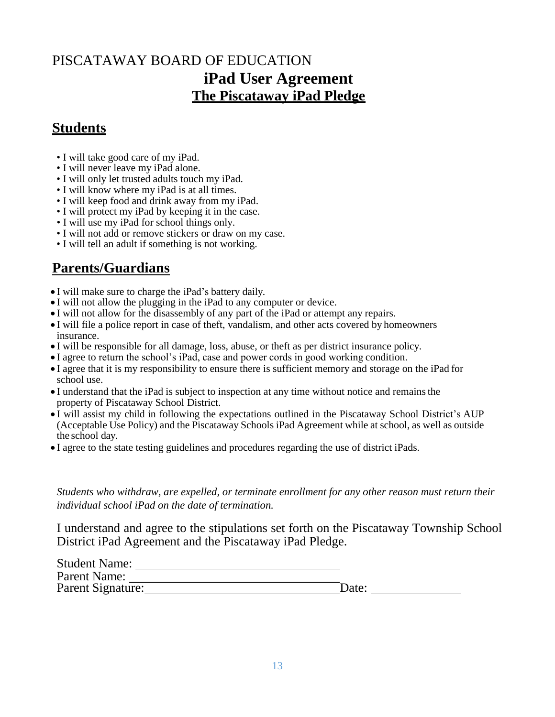## PISCATAWAY BOARD OF EDUCATION **iPad User Agreement The Piscataway iPad Pledge**

## **Students**

- I will take good care of my iPad.
- I will never leave my iPad alone.
- I will only let trusted adults touch my iPad.
- I will know where my iPad is at all times.
- I will keep food and drink away from my iPad.
- I will protect my iPad by keeping it in the case.
- I will use my iPad for school things only.
- I will not add or remove stickers or draw on my case.
- I will tell an adult if something is not working.

## **Parents/Guardians**

- I will make sure to charge the iPad's battery daily.
- I will not allow the plugging in the iPad to any computer or device.
- I will not allow for the disassembly of any part of the iPad or attempt any repairs.
- I will file a police report in case of theft, vandalism, and other acts covered by homeowners insurance.
- I will be responsible for all damage, loss, abuse, or theft as per district insurance policy.
- I agree to return the school's iPad, case and power cords in good working condition.
- I agree that it is my responsibility to ensure there is sufficient memory and storage on the iPad for school use.
- I understand that the iPad is subject to inspection at any time without notice and remainsthe property of Piscataway School District.
- I will assist my child in following the expectations outlined in the Piscataway School District's AUP (Acceptable Use Policy) and the Piscataway Schools iPad Agreement while at school, as well as outside the school day.
- I agree to the state testing guidelines and procedures regarding the use of district iPads.

*Students who withdraw, are expelled, or terminate enrollment for any other reason must return their individual school iPad on the date of termination.*

I understand and agree to the stipulations set forth on the Piscataway Township School District iPad Agreement and the Piscataway iPad Pledge.

| <b>Student Name:</b> |       |
|----------------------|-------|
| Parent Name:         |       |
| Parent Signature:    | Date: |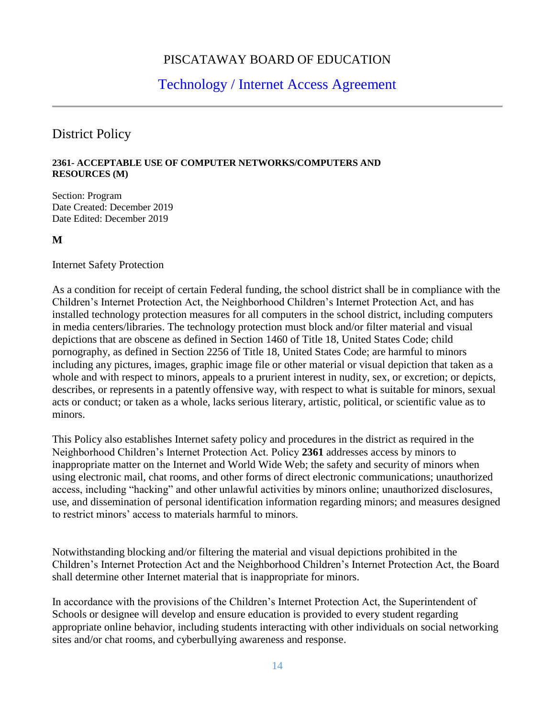## PISCATAWAY BOARD OF EDUCATION

## Technology / Internet Access Agreement

## District Policy

#### **2361- ACCEPTABLE USE OF COMPUTER NETWORKS/COMPUTERS AND RESOURCES (M)**

Section: Program Date Created: December 2019 Date Edited: December 2019

**M**

Internet Safety Protection

As a condition for receipt of certain Federal funding, the school district shall be in compliance with the Children's Internet Protection Act, the Neighborhood Children's Internet Protection Act, and has installed technology protection measures for all computers in the school district, including computers in media centers/libraries. The technology protection must block and/or filter material and visual depictions that are obscene as defined in Section 1460 of Title 18, United States Code; child pornography, as defined in Section 2256 of Title 18, United States Code; are harmful to minors including any pictures, images, graphic image file or other material or visual depiction that taken as a whole and with respect to minors, appeals to a prurient interest in nudity, sex, or excretion; or depicts, describes, or represents in a patently offensive way, with respect to what is suitable for minors, sexual acts or conduct; or taken as a whole, lacks serious literary, artistic, political, or scientific value as to minors.

This Policy also establishes Internet safety policy and procedures in the district as required in the Neighborhood Children's Internet Protection Act. Policy **2361** addresses access by minors to inappropriate matter on the Internet and World Wide Web; the safety and security of minors when using electronic mail, chat rooms, and other forms of direct electronic communications; unauthorized access, including "hacking" and other unlawful activities by minors online; unauthorized disclosures, use, and dissemination of personal identification information regarding minors; and measures designed to restrict minors' access to materials harmful to minors.

Notwithstanding blocking and/or filtering the material and visual depictions prohibited in the Children's Internet Protection Act and the Neighborhood Children's Internet Protection Act, the Board shall determine other Internet material that is inappropriate for minors.

In accordance with the provisions of the Children's Internet Protection Act, the Superintendent of Schools or designee will develop and ensure education is provided to every student regarding appropriate online behavior, including students interacting with other individuals on social networking sites and/or chat rooms, and cyberbullying awareness and response.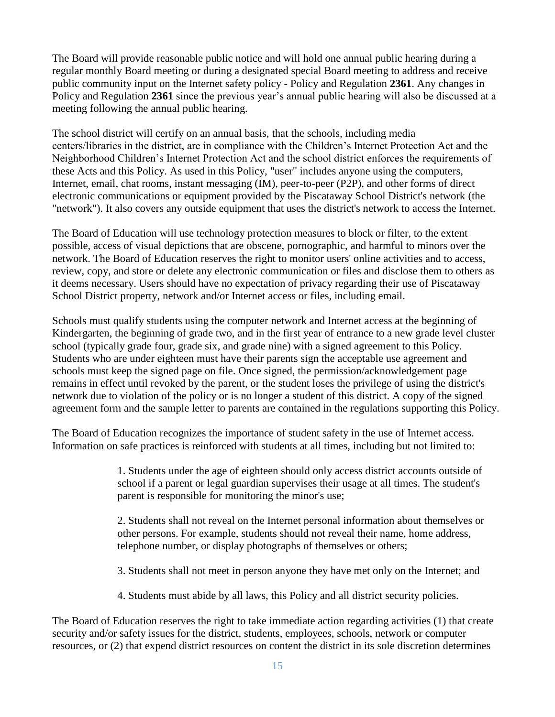The Board will provide reasonable public notice and will hold one annual public hearing during a regular monthly Board meeting or during a designated special Board meeting to address and receive public community input on the Internet safety policy - Policy and Regulation **2361**. Any changes in Policy and Regulation **2361** since the previous year's annual public hearing will also be discussed at a meeting following the annual public hearing.

The school district will certify on an annual basis, that the schools, including media centers/libraries in the district, are in compliance with the Children's Internet Protection Act and the Neighborhood Children's Internet Protection Act and the school district enforces the requirements of these Acts and this Policy. As used in this Policy, "user" includes anyone using the computers, Internet, email, chat rooms, instant messaging (IM), peer-to-peer (P2P), and other forms of direct electronic communications or equipment provided by the Piscataway School District's network (the "network"). It also covers any outside equipment that uses the district's network to access the Internet.

The Board of Education will use technology protection measures to block or filter, to the extent possible, access of visual depictions that are obscene, pornographic, and harmful to minors over the network. The Board of Education reserves the right to monitor users' online activities and to access, review, copy, and store or delete any electronic communication or files and disclose them to others as it deems necessary. Users should have no expectation of privacy regarding their use of Piscataway School District property, network and/or Internet access or files, including email.

Schools must qualify students using the computer network and Internet access at the beginning of Kindergarten, the beginning of grade two, and in the first year of entrance to a new grade level cluster school (typically grade four, grade six, and grade nine) with a signed agreement to this Policy. Students who are under eighteen must have their parents sign the acceptable use agreement and schools must keep the signed page on file. Once signed, the permission/acknowledgement page remains in effect until revoked by the parent, or the student loses the privilege of using the district's network due to violation of the policy or is no longer a student of this district. A copy of the signed agreement form and the sample letter to parents are contained in the regulations supporting this Policy.

The Board of Education recognizes the importance of student safety in the use of Internet access. Information on safe practices is reinforced with students at all times, including but not limited to:

> 1. Students under the age of eighteen should only access district accounts outside of school if a parent or legal guardian supervises their usage at all times. The student's parent is responsible for monitoring the minor's use;

> 2. Students shall not reveal on the Internet personal information about themselves or other persons. For example, students should not reveal their name, home address, telephone number, or display photographs of themselves or others;

3. Students shall not meet in person anyone they have met only on the Internet; and

4. Students must abide by all laws, this Policy and all district security policies.

The Board of Education reserves the right to take immediate action regarding activities (1) that create security and/or safety issues for the district, students, employees, schools, network or computer resources, or (2) that expend district resources on content the district in its sole discretion determines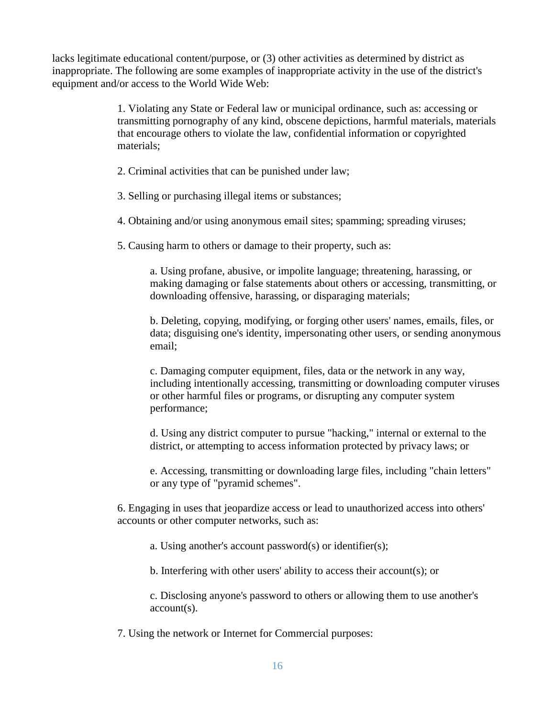lacks legitimate educational content/purpose, or (3) other activities as determined by district as inappropriate. The following are some examples of inappropriate activity in the use of the district's equipment and/or access to the World Wide Web:

> 1. Violating any State or Federal law or municipal ordinance, such as: accessing or transmitting pornography of any kind, obscene depictions, harmful materials, materials that encourage others to violate the law, confidential information or copyrighted materials;

- 2. Criminal activities that can be punished under law;
- 3. Selling or purchasing illegal items or substances;
- 4. Obtaining and/or using anonymous email sites; spamming; spreading viruses;
- 5. Causing harm to others or damage to their property, such as:

a. Using profane, abusive, or impolite language; threatening, harassing, or making damaging or false statements about others or accessing, transmitting, or downloading offensive, harassing, or disparaging materials;

b. Deleting, copying, modifying, or forging other users' names, emails, files, or data; disguising one's identity, impersonating other users, or sending anonymous email;

c. Damaging computer equipment, files, data or the network in any way, including intentionally accessing, transmitting or downloading computer viruses or other harmful files or programs, or disrupting any computer system performance;

d. Using any district computer to pursue "hacking," internal or external to the district, or attempting to access information protected by privacy laws; or

e. Accessing, transmitting or downloading large files, including "chain letters" or any type of "pyramid schemes".

6. Engaging in uses that jeopardize access or lead to unauthorized access into others' accounts or other computer networks, such as:

a. Using another's account password(s) or identifier(s);

b. Interfering with other users' ability to access their account(s); or

c. Disclosing anyone's password to others or allowing them to use another's account(s).

7. Using the network or Internet for Commercial purposes: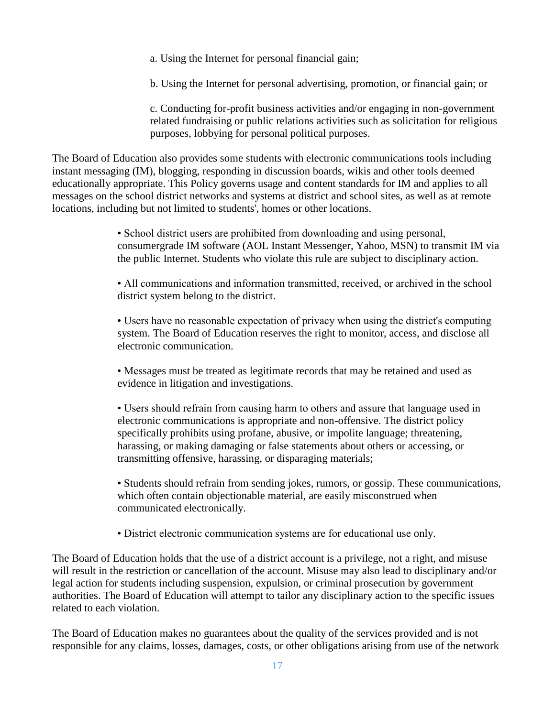a. Using the Internet for personal financial gain;

b. Using the Internet for personal advertising, promotion, or financial gain; or

c. Conducting for-profit business activities and/or engaging in non-government related fundraising or public relations activities such as solicitation for religious purposes, lobbying for personal political purposes.

The Board of Education also provides some students with electronic communications tools including instant messaging (IM), blogging, responding in discussion boards, wikis and other tools deemed educationally appropriate. This Policy governs usage and content standards for IM and applies to all messages on the school district networks and systems at district and school sites, as well as at remote locations, including but not limited to students', homes or other locations.

> • School district users are prohibited from downloading and using personal, consumergrade IM software (AOL Instant Messenger, Yahoo, MSN) to transmit IM via the public Internet. Students who violate this rule are subject to disciplinary action.

• All communications and information transmitted, received, or archived in the school district system belong to the district.

• Users have no reasonable expectation of privacy when using the district's computing system. The Board of Education reserves the right to monitor, access, and disclose all electronic communication.

• Messages must be treated as legitimate records that may be retained and used as evidence in litigation and investigations.

• Users should refrain from causing harm to others and assure that language used in electronic communications is appropriate and non-offensive. The district policy specifically prohibits using profane, abusive, or impolite language; threatening, harassing, or making damaging or false statements about others or accessing, or transmitting offensive, harassing, or disparaging materials;

• Students should refrain from sending jokes, rumors, or gossip. These communications, which often contain objectionable material, are easily misconstrued when communicated electronically.

• District electronic communication systems are for educational use only.

The Board of Education holds that the use of a district account is a privilege, not a right, and misuse will result in the restriction or cancellation of the account. Misuse may also lead to disciplinary and/or legal action for students including suspension, expulsion, or criminal prosecution by government authorities. The Board of Education will attempt to tailor any disciplinary action to the specific issues related to each violation.

The Board of Education makes no guarantees about the quality of the services provided and is not responsible for any claims, losses, damages, costs, or other obligations arising from use of the network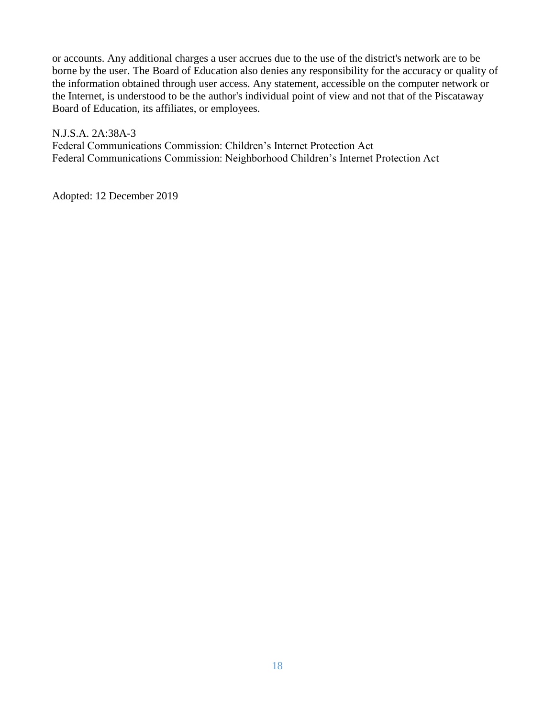or accounts. Any additional charges a user accrues due to the use of the district's network are to be borne by the user. The Board of Education also denies any responsibility for the accuracy or quality of the information obtained through user access. Any statement, accessible on the computer network or the Internet, is understood to be the author's individual point of view and not that of the Piscataway Board of Education, its affiliates, or employees.

N.J.S.A. 2A:38A-3 Federal Communications Commission: Children's Internet Protection Act Federal Communications Commission: Neighborhood Children's Internet Protection Act

Adopted: 12 December 2019